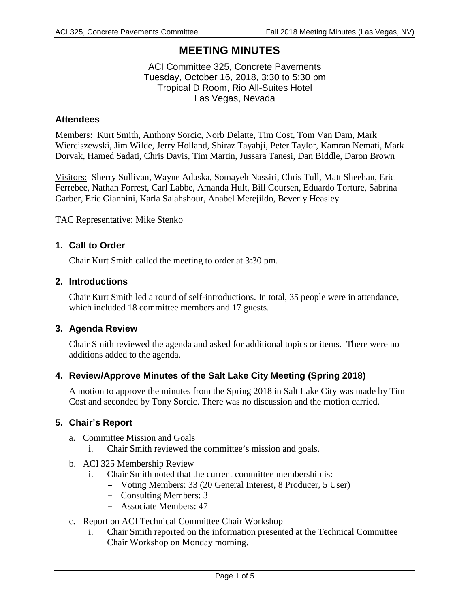# **MEETING MINUTES**

#### ACI Committee 325, Concrete Pavements Tuesday, October 16, 2018, 3:30 to 5:30 pm Tropical D Room, Rio All-Suites Hotel Las Vegas, Nevada

#### **Attendees**

Members: Kurt Smith, Anthony Sorcic, Norb Delatte, Tim Cost, Tom Van Dam, Mark Wierciszewski, Jim Wilde, Jerry Holland, Shiraz Tayabji, Peter Taylor, Kamran Nemati, Mark Dorvak, Hamed Sadati, Chris Davis, Tim Martin, Jussara Tanesi, Dan Biddle, Daron Brown

Visitors: Sherry Sullivan, Wayne Adaska, Somayeh Nassiri, Chris Tull, Matt Sheehan, Eric Ferrebee, Nathan Forrest, Carl Labbe, Amanda Hult, Bill Coursen, Eduardo Torture, Sabrina Garber, Eric Giannini, Karla Salahshour, Anabel Merejildo, Beverly Heasley

TAC Representative: Mike Stenko

#### **1. Call to Order**

Chair Kurt Smith called the meeting to order at 3:30 pm.

#### **2. Introductions**

Chair Kurt Smith led a round of self-introductions. In total, 35 people were in attendance, which included 18 committee members and 17 guests.

#### **3. Agenda Review**

Chair Smith reviewed the agenda and asked for additional topics or items. There were no additions added to the agenda.

# **4. Review/Approve Minutes of the Salt Lake City Meeting (Spring 2018)**

A motion to approve the minutes from the Spring 2018 in Salt Lake City was made by Tim Cost and seconded by Tony Sorcic. There was no discussion and the motion carried.

#### **5. Chair's Report**

- a. Committee Mission and Goals
	- i. Chair Smith reviewed the committee's mission and goals.
- b. ACI 325 Membership Review
	- i. Chair Smith noted that the current committee membership is:
		- Voting Members: 33 (20 General Interest, 8 Producer, 5 User)
		- Consulting Members: 3
		- Associate Members: 47
- c. Report on ACI Technical Committee Chair Workshop
	- i. Chair Smith reported on the information presented at the Technical Committee Chair Workshop on Monday morning.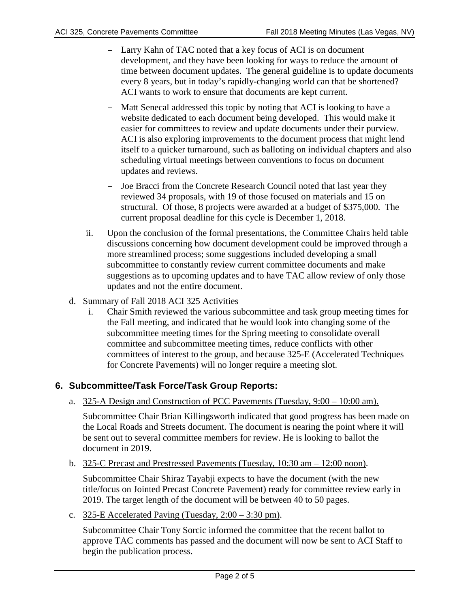- Larry Kahn of TAC noted that a key focus of ACI is on document development, and they have been looking for ways to reduce the amount of time between document updates. The general guideline is to update documents every 8 years, but in today's rapidly-changing world can that be shortened? ACI wants to work to ensure that documents are kept current.
- Matt Senecal addressed this topic by noting that ACI is looking to have a website dedicated to each document being developed. This would make it easier for committees to review and update documents under their purview. ACI is also exploring improvements to the document process that might lend itself to a quicker turnaround, such as balloting on individual chapters and also scheduling virtual meetings between conventions to focus on document updates and reviews.
- Joe Bracci from the Concrete Research Council noted that last year they reviewed 34 proposals, with 19 of those focused on materials and 15 on structural. Of those, 8 projects were awarded at a budget of \$375,000. The current proposal deadline for this cycle is December 1, 2018.
- ii. Upon the conclusion of the formal presentations, the Committee Chairs held table discussions concerning how document development could be improved through a more streamlined process; some suggestions included developing a small subcommittee to constantly review current committee documents and make suggestions as to upcoming updates and to have TAC allow review of only those updates and not the entire document.
- d. Summary of Fall 2018 ACI 325 Activities
	- i. Chair Smith reviewed the various subcommittee and task group meeting times for the Fall meeting, and indicated that he would look into changing some of the subcommittee meeting times for the Spring meeting to consolidate overall committee and subcommittee meeting times, reduce conflicts with other committees of interest to the group, and because 325-E (Accelerated Techniques for Concrete Pavements) will no longer require a meeting slot.

# **6. Subcommittee/Task Force/Task Group Reports:**

a. 325-A Design and Construction of PCC Pavements (Tuesday, 9:00 – 10:00 am).

Subcommittee Chair Brian Killingsworth indicated that good progress has been made on the Local Roads and Streets document. The document is nearing the point where it will be sent out to several committee members for review. He is looking to ballot the document in 2019.

b.  $325$ -C Precast and Prestressed Pavements (Tuesday,  $10:30$  am  $-12:00$  noon).

Subcommittee Chair Shiraz Tayabji expects to have the document (with the new title/focus on Jointed Precast Concrete Pavement) ready for committee review early in 2019. The target length of the document will be between 40 to 50 pages.

c.  $325$ -E Accelerated Paving (Tuesday,  $2:00 - 3:30$  pm).

Subcommittee Chair Tony Sorcic informed the committee that the recent ballot to approve TAC comments has passed and the document will now be sent to ACI Staff to begin the publication process.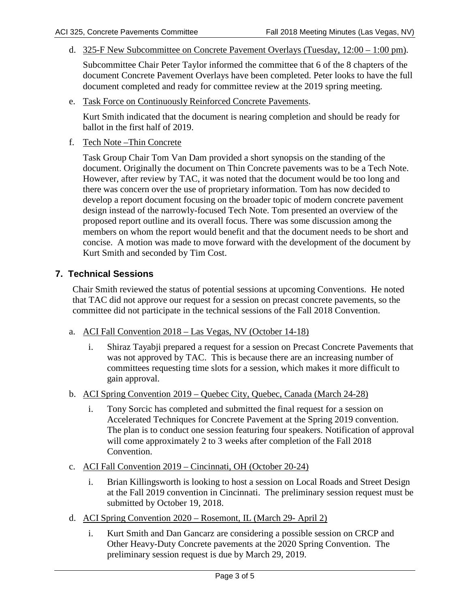d. 325-F New Subcommittee on Concrete Pavement Overlays (Tuesday, 12:00 – 1:00 pm).

Subcommittee Chair Peter Taylor informed the committee that 6 of the 8 chapters of the document Concrete Pavement Overlays have been completed. Peter looks to have the full document completed and ready for committee review at the 2019 spring meeting.

e. Task Force on Continuously Reinforced Concrete Pavements.

Kurt Smith indicated that the document is nearing completion and should be ready for ballot in the first half of 2019.

f. Tech Note –Thin Concrete

Task Group Chair Tom Van Dam provided a short synopsis on the standing of the document. Originally the document on Thin Concrete pavements was to be a Tech Note. However, after review by TAC, it was noted that the document would be too long and there was concern over the use of proprietary information. Tom has now decided to develop a report document focusing on the broader topic of modern concrete pavement design instead of the narrowly-focused Tech Note. Tom presented an overview of the proposed report outline and its overall focus. There was some discussion among the members on whom the report would benefit and that the document needs to be short and concise. A motion was made to move forward with the development of the document by Kurt Smith and seconded by Tim Cost.

# **7. Technical Sessions**

Chair Smith reviewed the status of potential sessions at upcoming Conventions. He noted that TAC did not approve our request for a session on precast concrete pavements, so the committee did not participate in the technical sessions of the Fall 2018 Convention.

- a. ACI Fall Convention 2018 Las Vegas, NV (October 14-18)
	- i. Shiraz Tayabji prepared a request for a session on Precast Concrete Pavements that was not approved by TAC. This is because there are an increasing number of committees requesting time slots for a session, which makes it more difficult to gain approval.
- b. ACI Spring Convention 2019 Quebec City, Quebec, Canada (March 24-28)
	- i. Tony Sorcic has completed and submitted the final request for a session on Accelerated Techniques for Concrete Pavement at the Spring 2019 convention. The plan is to conduct one session featuring four speakers. Notification of approval will come approximately 2 to 3 weeks after completion of the Fall 2018 Convention.
- c. ACI Fall Convention 2019 Cincinnati, OH (October 20-24)
	- i. Brian Killingsworth is looking to host a session on Local Roads and Street Design at the Fall 2019 convention in Cincinnati. The preliminary session request must be submitted by October 19, 2018.
- d. ACI Spring Convention 2020 Rosemont, IL (March 29- April 2)
	- i. Kurt Smith and Dan Gancarz are considering a possible session on CRCP and Other Heavy-Duty Concrete pavements at the 2020 Spring Convention. The preliminary session request is due by March 29, 2019.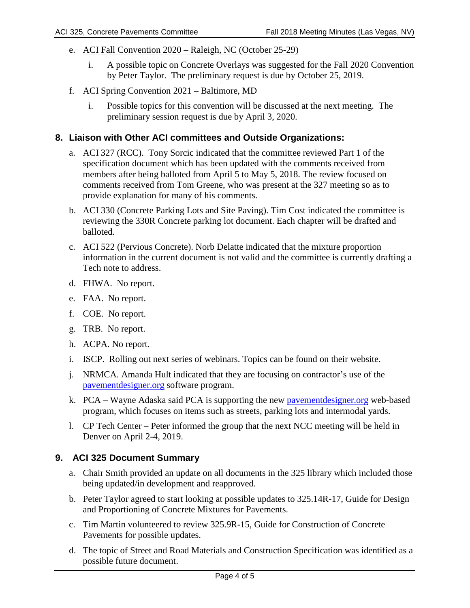- e. ACI Fall Convention 2020 Raleigh, NC (October 25-29)
	- i. A possible topic on Concrete Overlays was suggested for the Fall 2020 Convention by Peter Taylor. The preliminary request is due by October 25, 2019.
- f. ACI Spring Convention 2021 Baltimore, MD
	- i. Possible topics for this convention will be discussed at the next meeting. The preliminary session request is due by April 3, 2020.

### **8. Liaison with Other ACI committees and Outside Organizations:**

- a. ACI 327 (RCC). Tony Sorcic indicated that the committee reviewed Part 1 of the specification document which has been updated with the comments received from members after being balloted from April 5 to May 5, 2018. The review focused on comments received from Tom Greene, who was present at the 327 meeting so as to provide explanation for many of his comments.
- b. ACI 330 (Concrete Parking Lots and Site Paving). Tim Cost indicated the committee is reviewing the 330R Concrete parking lot document. Each chapter will be drafted and balloted.
- c. ACI 522 (Pervious Concrete). Norb Delatte indicated that the mixture proportion information in the current document is not valid and the committee is currently drafting a Tech note to address.
- d. FHWA. No report.
- e. FAA. No report.
- f. COE. No report.
- g. TRB. No report.
- h. ACPA. No report.
- i. ISCP. Rolling out next series of webinars. Topics can be found on their website.
- j. NRMCA. Amanda Hult indicated that they are focusing on contractor's use of the [pavementdesigner.org](https://pavementdesigner.org/) software program.
- k. PCA Wayne Adaska said PCA is supporting the new [pavementdesigner.org](https://pavementdesigner.org/) web-based program, which focuses on items such as streets, parking lots and intermodal yards.
- l. CP Tech Center Peter informed the group that the next NCC meeting will be held in Denver on April 2-4, 2019.

# **9. ACI 325 Document Summary**

- a. Chair Smith provided an update on all documents in the 325 library which included those being updated/in development and reapproved.
- b. Peter Taylor agreed to start looking at possible updates to 325.14R-17, Guide for Design and Proportioning of Concrete Mixtures for Pavements.
- c. Tim Martin volunteered to review 325.9R-15, Guide for Construction of Concrete Pavements for possible updates.
- d. The topic of Street and Road Materials and Construction Specification was identified as a possible future document.